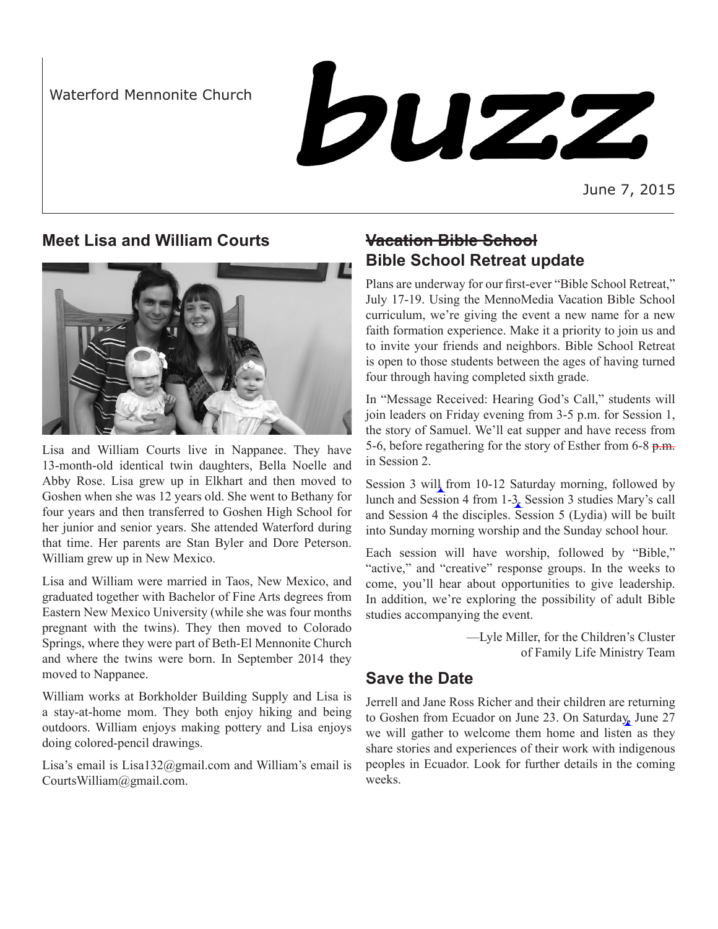Waterford Mennonite Church

# buzz

June 7, 2015

## **Meet Lisa and William Courts**



Lisa and William Courts live in Nappanee. They have 13-month-old identical twin daughters, Bella Noelle and Abby Rose. Lisa grew up in Elkhart and then moved to Goshen when she was 12 years old. She went to Bethany for four years and then transferred to Goshen High School for her junior and senior years. She attended Waterford during that time. Her parents are Stan Byler and Dore Peterson. William grew up in New Mexico.

Lisa and William were married in Taos, New Mexico, and graduated together with Bachelor of Fine Arts degrees from Eastern New Mexico University (while she was four months pregnant with the twins). They then moved to Colorado Springs, where they were part of Beth-El Mennonite Church and where the twins were born. In September 2014 they moved to Nappanee.

William works at Borkholder Building Supply and Lisa is a stay-at-home mom. They both enjoy hiking and being outdoors. William enjoys making pottery and Lisa enjoys doing colored-pencil drawings.

Lisa's email is Lisa132@gmail.com and William's email is CourtsWilliam@gmail.com.

## **Vacation Bible School Bible School Retreat update**

Plans are underway for our first-ever "Bible School Retreat," July 17-19. Using the MennoMedia Vacation Bible School curriculum, we're giving the event a new name for a new faith formation experience. Make it a priority to join us and to invite your friends and neighbors. Bible School Retreat is open to those students between the ages of having turned four through having completed sixth grade.

In "Message Received: Hearing God's Call," students will join leaders on Friday evening from 3-5 p.m. for Session 1, the story of Samuel. We'll eat supper and have recess from 5-6, before regathering for the story of Esther from 6-8 p.m. in Session 2.

Session 3 will from 10-12 Saturday morning, followed by lunch and Session 4 from 1-3. Session 3 studies Mary's call and Session 4 the disciples. Session 5 (Lydia) will be built into Sunday morning worship and the Sunday school hour.

Each session will have worship, followed by "Bible," "active," and "creative" response groups. In the weeks to come, you'll hear about opportunities to give leadership. In addition, we're exploring the possibility of adult Bible studies accompanying the event.

> —Lyle Miller, for the Children's Cluster of Family Life Ministry Team

## **Save the Date**

Jerrell and Jane Ross Richer and their children are returning to Goshen from Ecuador on June 23. On Saturday, June 27 we will gather to welcome them home and listen as they share stories and experiences of their work with indigenous peoples in Ecuador. Look for further details in the coming weeks.